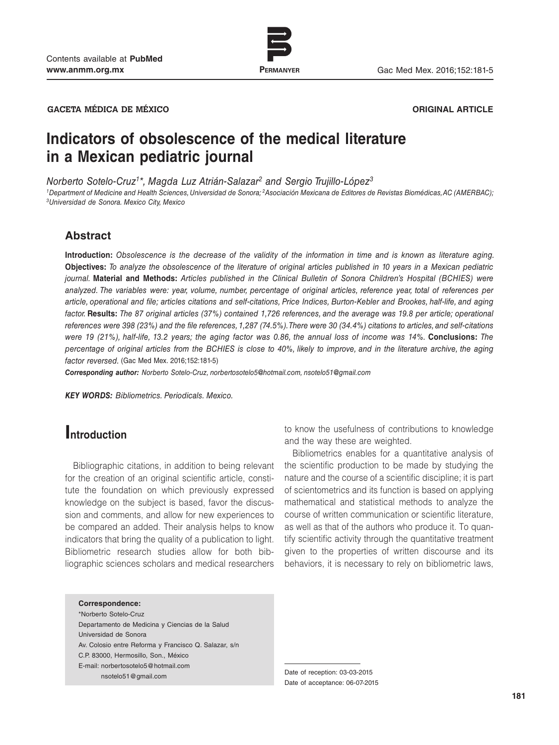

www.permanyer.com

**GACETA MÉDICA DE MÉXICO ORIGINAL ARTICLE**

# **Indicators of obsolescence of the medical literature in a Mexican pediatric journal**

*Norberto Sotelo-Cruz1\*, Magda Luz Atrián-Salazar2 and Sergio Trujillo-López3*

*1Department of Medicine and Health Sciences, Universidad de Sonora; 2Asociación Mexicana de Editores de Revistas Biomédicas, AC (AMERBAC); 3Universidad de Sonora. Mexico City, Mexico*

### **Abstract**

**Introduction:** *Obsolescence is the decrease of the validity of the information in time and is known as literature aging.*  **Objectives:** *To analyze the obsolescence of the literature of original articles published in 10 years in a Mexican pediatric journal.* **Material and Methods:** *Articles published in the Clinical Bulletin of Sonora Children's Hospital (BCHIES) were analyzed. The variables were: year, volume, number, percentage of original articles, reference year, total of references per article, operational and file; articles citations and self-citations, Price Indices, Burton-Kebler and Brookes, half-life, and aging factor.* **Results:** *The 87 original articles (37%) contained 1,726 references, and the average was 19.8 per article; operational references were 398 (23%) and the file references, 1,287 (74.5%). There were 30 (34.4%) citations to articles, and self-citations were 19 (21%), half-life, 13.2 years; the aging factor was 0.86, the annual loss of income was 14%.* **Conclusions:** *The percentage of original articles from the BCHIES is close to 40%, likely to improve, and in the literature archive, the aging factor reversed.* (Gac Med Mex. 2016;152:181-5)

*Corresponding author: Norberto Sotelo-Cruz, norbertosotelo5@hotmail.com, nsotelo51@gmail.com*

*KEY WORDS: Bibliometrics. Periodicals. Mexico.*

# **Introduction**

Bibliographic citations, in addition to being relevant for the creation of an original scientific article, constitute the foundation on which previously expressed knowledge on the subject is based, favor the discussion and comments, and allow for new experiences to be compared an added. Their analysis helps to know indicators that bring the quality of a publication to light. Bibliometric research studies allow for both bibliographic sciences scholars and medical researchers

to know the usefulness of contributions to knowledge and the way these are weighted.

Bibliometrics enables for a quantitative analysis of the scientific production to be made by studying the nature and the course of a scientific discipline; it is part of scientometrics and its function is based on applying mathematical and statistical methods to analyze the course of written communication or scientific literature, as well as that of the authors who produce it. To quantify scientific activity through the quantitative treatment given to the properties of written discourse and its behaviors, it is necessary to rely on bibliometric laws,

**Correspondence:** \*Norberto Sotelo-Cruz

Departamento de Medicina y Ciencias de la Salud Universidad de Sonora Av. Colosio entre Reforma y Francisco Q. Salazar, s/n C.P. 83000, Hermosillo, Son., México E-mail: norbertosotelo5@hotmail.com nsotelo51@gmail.com Date of reception: 03-03-2015

Date of acceptance: 06-07-2015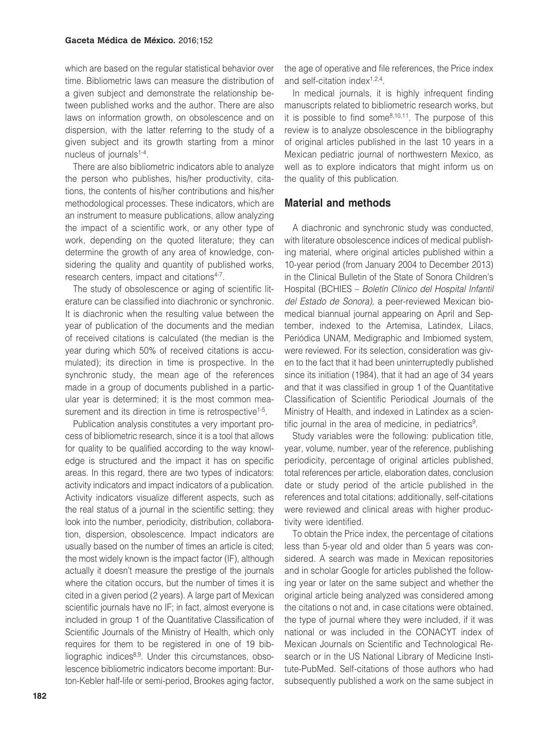which are based on the regular statistical behavior over time. Bibliometric laws can measure the distribution of a given subject and demonstrate the relationship between published works and the author. There are also laws on information growth, on obsolescence and on dispersion, with the latter referring to the study of a given subject and its growth starting from a minor nucleus of journals<sup>1-4</sup>.

There are also bibliometric indicators able to analyze the person who publishes, his/her productivity, citations, the contents of his/her contributions and his/her methodological processes. These indicators, which are an instrument to measure publications, allow analyzing the impact of a scientific work, or any other type of work, depending on the quoted literature; they can determine the growth of any area of knowledge, considering the quality and quantity of published works, research centers, impact and citations<sup>4-7</sup>.

The study of obsolescence or aging of scientific literature can be classified into diachronic or synchronic. It is diachronic when the resulting value between the year of publication of the documents and the median of received citations is calculated (the median is the year during which 50% of received citations is accumulated); its direction in time is prospective. In the synchronic study, the mean age of the references made in a group of documents published in a particular year is determined; it is the most common measurement and its direction in time is retrospective<sup>1-5</sup>.

Publication analysis constitutes a very important process of bibliometric research, since it is a tool that allows for quality to be qualified according to the way knowledge is structured and the impact it has on specific areas. In this regard, there are two types of indicators: activity indicators and impact indicators of a publication. Activity indicators visualize different aspects, such as the real status of a journal in the scientific setting; they look into the number, periodicity, distribution, collaboration, dispersion, obsolescence. Impact indicators are usually based on the number of times an article is cited; the most widely known is the impact factor (IF), although actually it doesn't measure the prestige of the journals where the citation occurs, but the number of times it is cited in a given period (2 years). A large part of Mexican scientific journals have no IF; in fact, almost everyone is included in group 1 of the Quantitative Classification of Scientific Journals of the Ministry of Health, which only requires for them to be registered in one of 19 bibliographic indices $8,9$ . Under this circumstances, obsolescence bibliometric indicators become important: Burton-Kebler half-life or semi-period, Brookes aging factor,

the age of operative and file references, the Price index and self-citation index<sup>1,2,4</sup>.

In medical journals, it is highly infrequent finding manuscripts related to bibliometric research works, but it is possible to find some $8,10,11$ . The purpose of this review is to analyze obsolescence in the bibliography of original articles published in the last 10 years in a Mexican pediatric journal of northwestern Mexico, as well as to explore indicators that might inform us on the quality of this publication.

# **Material and methods**

A diachronic and synchronic study was conducted, with literature obsolescence indices of medical publishing material, where original articles published within a 10-year period (from January 2004 to December 2013) in the Clinical Bulletin of the State of Sonora Children's Hospital (BCHIES – *Boletín Clínico del Hospital Infantil del Estado de Sonora),* a peer-reviewed Mexican biomedical biannual journal appearing on April and September, indexed to the Artemisa, Latindex, Lilacs, Periódica UNAM, Medigraphic and Imbiomed system, were reviewed. For its selection, consideration was given to the fact that it had been uninterruptedly published since its initiation (1984), that it had an age of 34 years and that it was classified in group 1 of the Quantitative Classification of Scientific Periodical Journals of the Ministry of Health, and indexed in Latindex as a scientific journal in the area of medicine, in pediatrics<sup>9</sup>.

Study variables were the following: publication title, year, volume, number, year of the reference, publishing periodicity, percentage of original articles published, total references per article, elaboration dates, conclusion date or study period of the article published in the references and total citations; additionally, self-citations were reviewed and clinical areas with higher productivity were identified.

To obtain the Price index, the percentage of citations less than 5-year old and older than 5 years was considered. A search was made in Mexican repositories and in scholar Google for articles published the following year or later on the same subject and whether the original article being analyzed was considered among the citations o not and, in case citations were obtained, the type of journal where they were included, if it was national or was included in the CONACYT index of Mexican Journals on Scientific and Technological Research or in the US National Library of Medicine Institute-PubMed. Self-citations of those authors who had subsequently published a work on the same subject in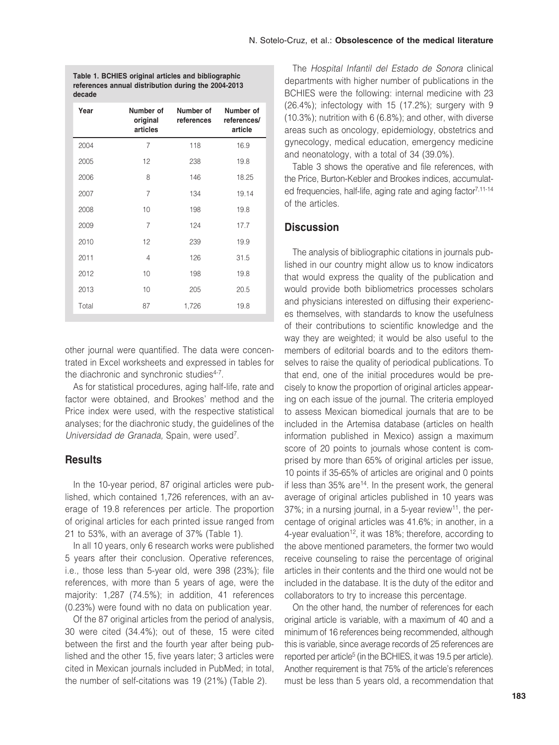**Table 1. BCHIES original articles and bibliographic references annual distribution during the 2004-2013 decade**

| Year  | Number of<br>original<br>articles | Number of<br>references | Number of<br>references/<br>article |
|-------|-----------------------------------|-------------------------|-------------------------------------|
| 2004  | $\overline{7}$                    | 118                     | 16.9                                |
| 2005  | 12                                | 238                     | 19.8                                |
| 2006  | 8                                 | 146                     | 18.25                               |
| 2007  | $\overline{7}$                    | 134                     | 19.14                               |
| 2008  | 10                                | 198                     | 19.8                                |
| 2009  | $\overline{7}$                    | 124                     | 17.7                                |
| 2010  | 12                                | 239                     | 19.9                                |
| 2011  | 4                                 | 126                     | 31.5                                |
| 2012  | 10                                | 198                     | 19.8                                |
| 2013  | 10                                | 205                     | 20.5                                |
| Total | 87                                | 1,726                   | 19.8                                |

other journal were quantified. The data were concentrated in Excel worksheets and expressed in tables for the diachronic and synchronic studies<sup>4-7</sup>.

As for statistical procedures, aging half-life, rate and factor were obtained, and Brookes' method and the Price index were used, with the respective statistical analyses; for the diachronic study, the guidelines of the *Universidad de Granada,* Spain, were used7.

## **Results**

In the 10-year period, 87 original articles were published, which contained 1,726 references, with an average of 19.8 references per article. The proportion of original articles for each printed issue ranged from 21 to 53%, with an average of 37% (Table 1).

In all 10 years, only 6 research works were published 5 years after their conclusion. Operative references, i.e., those less than 5-year old, were 398 (23%); file references, with more than 5 years of age, were the majority: 1,287 (74.5%); in addition, 41 references (0.23%) were found with no data on publication year.

Of the 87 original articles from the period of analysis, 30 were cited (34.4%); out of these, 15 were cited between the first and the fourth year after being published and the other 15, five years later; 3 articles were cited in Mexican journals included in PubMed; in total, the number of self-citations was 19 (21%) (Table 2).

The *Hospital Infantil del Estado de Sonora* clinical departments with higher number of publications in the BCHIES were the following: internal medicine with 23 (26.4%); infectology with 15 (17.2%); surgery with 9 (10.3%); nutrition with 6 (6.8%); and other, with diverse areas such as oncology, epidemiology, obstetrics and gynecology, medical education, emergency medicine and neonatology, with a total of 34 (39.0%).

Table 3 shows the operative and file references, with the Price, Burton-Kebler and Brookes indices, accumulated frequencies, half-life, aging rate and aging factor<sup>7,11-14</sup> of the articles.

# **Discussion**

The analysis of bibliographic citations in journals published in our country might allow us to know indicators that would express the quality of the publication and would provide both bibliometrics processes scholars and physicians interested on diffusing their experiences themselves, with standards to know the usefulness of their contributions to scientific knowledge and the way they are weighted; it would be also useful to the members of editorial boards and to the editors themselves to raise the quality of periodical publications. To that end, one of the initial procedures would be precisely to know the proportion of original articles appearing on each issue of the journal. The criteria employed to assess Mexican biomedical journals that are to be included in the Artemisa database (articles on health information published in Mexico) assign a maximum score of 20 points to journals whose content is comprised by more than 65% of original articles per issue, 10 points if 35-65% of articles are original and 0 points if less than  $35\%$  are<sup>14</sup>. In the present work, the general average of original articles published in 10 years was  $37\%$ ; in a nursing journal, in a 5-year review<sup>11</sup>, the percentage of original articles was 41.6%; in another, in a 4-year evaluation<sup>12</sup>, it was 18%; therefore, according to the above mentioned parameters, the former two would receive counseling to raise the percentage of original articles in their contents and the third one would not be included in the database. It is the duty of the editor and collaborators to try to increase this percentage.

On the other hand, the number of references for each original article is variable, with a maximum of 40 and a minimum of 16 references being recommended, although this is variable, since average records of 25 references are reported per article<sup>5</sup> (in the BCHIES, it was 19.5 per article). Another requirement is that 75% of the article's references must be less than 5 years old, a recommendation that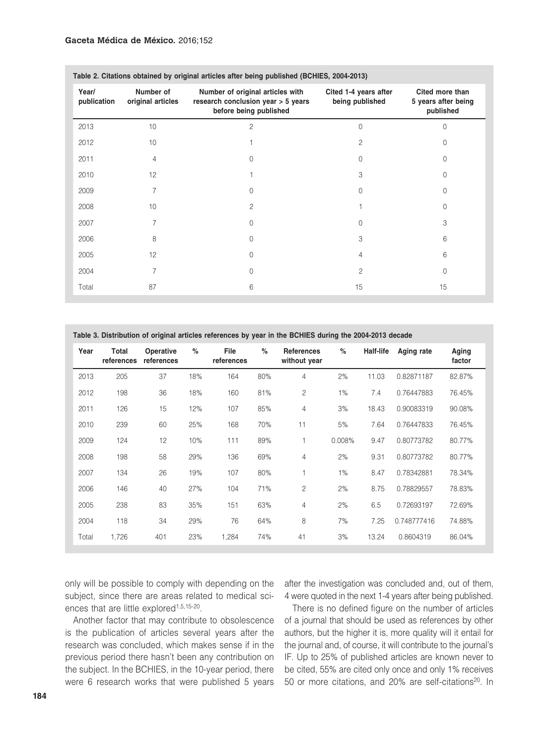| Table 2. Citations obtained by original articles after being published (DCHIES, 2004-2013) |                                |                                                                                                  |                                          |                                                     |  |
|--------------------------------------------------------------------------------------------|--------------------------------|--------------------------------------------------------------------------------------------------|------------------------------------------|-----------------------------------------------------|--|
| Year/<br>publication                                                                       | Number of<br>original articles | Number of original articles with<br>research conclusion year > 5 years<br>before being published | Cited 1-4 years after<br>being published | Cited more than<br>5 years after being<br>published |  |
| 2013                                                                                       | 10                             | $\overline{c}$                                                                                   | $\Omega$                                 | U                                                   |  |
| 2012                                                                                       | 10                             |                                                                                                  | $\overline{c}$                           | O                                                   |  |
| 2011                                                                                       | 4                              | 0                                                                                                | 0                                        | 0                                                   |  |
| 2010                                                                                       | 12                             |                                                                                                  | 3                                        |                                                     |  |
| 2009                                                                                       |                                | $\Omega$                                                                                         | $\Omega$                                 | U                                                   |  |
| 2008                                                                                       | 10                             | 2                                                                                                |                                          | 0                                                   |  |
| 2007                                                                                       |                                | $\Omega$                                                                                         | U                                        | 3                                                   |  |
| 2006                                                                                       | 8                              | $\Omega$                                                                                         | 3                                        | 6                                                   |  |
| 2005                                                                                       | 12                             | 0                                                                                                | 4                                        | 6                                                   |  |
| 2004                                                                                       | 7                              | $\Omega$                                                                                         | $\overline{c}$                           | $\Omega$                                            |  |
| Total                                                                                      | 87                             | 6                                                                                                | 15                                       | 15                                                  |  |

**Table 2. Citations obtained by original articles after being published (BCHIES, 2004-2013)**

**Table 3. Distribution of original articles references by year in the BCHIES during the 2004-2013 decade Year Total references references Operative % File references % References without year % Half-life Aging rate Aging factor** 2013 205 37 18% 164 80% 4 2% 11.03 0.82871187 82.87% 2012 198 36 18% 160 81% 2 1% 7.4 0.76447883 76.45% 2011 126 15 12% 107 85% 4 3% 18.43 0.90083319 90.08% 2010 239 60 25% 168 70% 11 5% 7.64 0.76447833 76.45% 2009 124 12 10% 111 89% 1 0.008% 9.47 0.80773782 80.77% 2008 198 58 29% 136 69% 4 2% 9.31 0.80773782 80.77% 2007 134 26 19% 107 80% 1 1% 8.47 0.78342881 78.34% 2006 146 40 27% 104 71% 2 2% 8.75 0.78829557 78.83% 2005 238 83 35% 151 63% 4 2% 6.5 0.72693197 72.69% 2004 118 34 29% 76 64% 8 7% 7.25 0.748777416 74.88% Total 1,726 401 23% 1,284 74% 41 3% 13.24 0.8604319 86.04%

only will be possible to comply with depending on the subject, since there are areas related to medical sciences that are little explored<sup>1,5,15-20</sup>.

after the investigation was concluded and, out of them, 4 were quoted in the next 1-4 years after being published.

Another factor that may contribute to obsolescence is the publication of articles several years after the research was concluded, which makes sense if in the previous period there hasn't been any contribution on the subject. In the BCHIES, in the 10-year period, there were 6 research works that were published 5 years

There is no defined figure on the number of articles of a journal that should be used as references by other authors, but the higher it is, more quality will it entail for the journal and, of course, it will contribute to the journal's IF. Up to 25% of published articles are known never to be cited, 55% are cited only once and only 1% receives 50 or more citations, and 20% are self-citations<sup>20</sup>. In